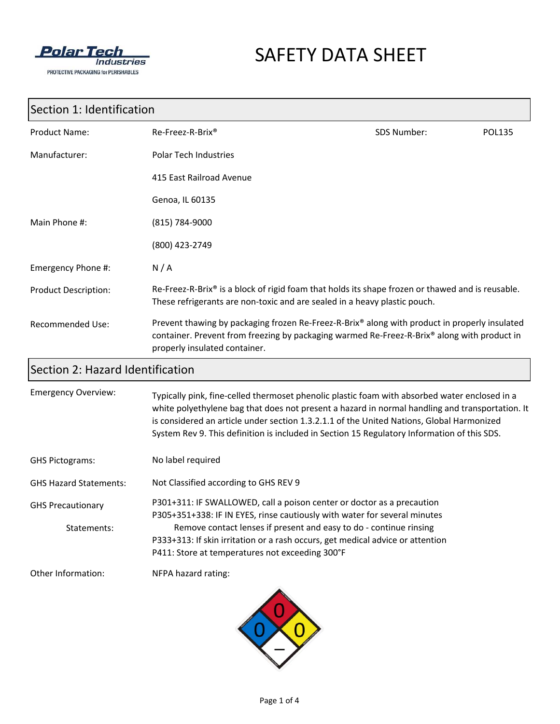

## SAFETY DATA SHEET

## Section 1: Identification

| <b>Product Name:</b>        | Re-Freez-R-Brix <sup>®</sup>                                                                                                                                                                                                  | SDS Number: | <b>POL135</b> |
|-----------------------------|-------------------------------------------------------------------------------------------------------------------------------------------------------------------------------------------------------------------------------|-------------|---------------|
| Manufacturer:               | <b>Polar Tech Industries</b>                                                                                                                                                                                                  |             |               |
|                             | 415 East Railroad Avenue                                                                                                                                                                                                      |             |               |
|                             | Genoa, IL 60135                                                                                                                                                                                                               |             |               |
| Main Phone #:               | (815) 784-9000                                                                                                                                                                                                                |             |               |
|                             | (800) 423-2749                                                                                                                                                                                                                |             |               |
| Emergency Phone #:          | N/A                                                                                                                                                                                                                           |             |               |
| <b>Product Description:</b> | Re-Freez-R-Brix <sup>®</sup> is a block of rigid foam that holds its shape frozen or thawed and is reusable.<br>These refrigerants are non-toxic and are sealed in a heavy plastic pouch.                                     |             |               |
| <b>Recommended Use:</b>     | Prevent thawing by packaging frozen Re-Freez-R-Brix® along with product in properly insulated<br>container. Prevent from freezing by packaging warmed Re-Freez-R-Brix® along with product in<br>properly insulated container. |             |               |

## Section 2: Hazard Identification

| <b>Emergency Overview:</b>              | Typically pink, fine-celled thermoset phenolic plastic foam with absorbed water enclosed in a<br>white polyethylene bag that does not present a hazard in normal handling and transportation. It<br>is considered an article under section 1.3.2.1.1 of the United Nations, Global Harmonized<br>System Rev 9. This definition is included in Section 15 Regulatory Information of this SDS. |
|-----------------------------------------|----------------------------------------------------------------------------------------------------------------------------------------------------------------------------------------------------------------------------------------------------------------------------------------------------------------------------------------------------------------------------------------------|
| <b>GHS Pictograms:</b>                  | No label required                                                                                                                                                                                                                                                                                                                                                                            |
| <b>GHS Hazard Statements:</b>           | Not Classified according to GHS REV 9                                                                                                                                                                                                                                                                                                                                                        |
| <b>GHS Precautionary</b><br>Statements: | P301+311: IF SWALLOWED, call a poison center or doctor as a precaution<br>P305+351+338: IF IN EYES, rinse cautiously with water for several minutes<br>Remove contact lenses if present and easy to do - continue rinsing<br>P333+313: If skin irritation or a rash occurs, get medical advice or attention                                                                                  |
| Other Information:                      | P411: Store at temperatures not exceeding 300°F<br>NFPA hazard rating:                                                                                                                                                                                                                                                                                                                       |
|                                         |                                                                                                                                                                                                                                                                                                                                                                                              |

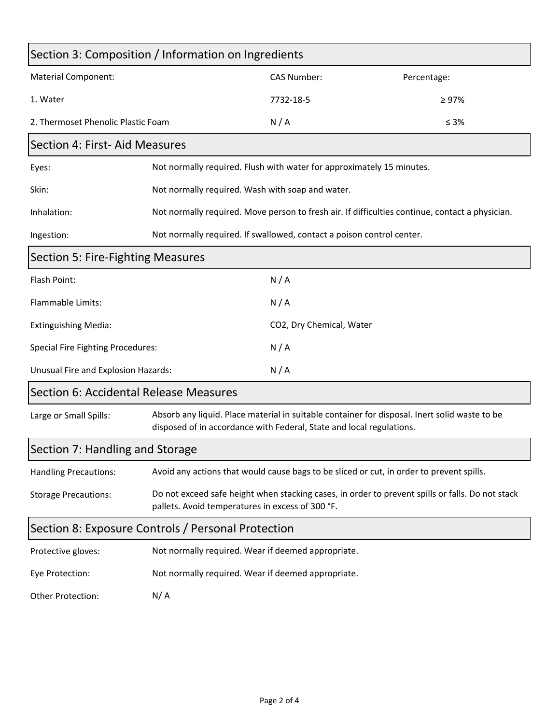| Section 3: Composition / Information on Ingredients |                                                                                                                                                                       |                                                                       |             |  |
|-----------------------------------------------------|-----------------------------------------------------------------------------------------------------------------------------------------------------------------------|-----------------------------------------------------------------------|-------------|--|
| <b>Material Component:</b>                          |                                                                                                                                                                       | <b>CAS Number:</b>                                                    | Percentage: |  |
| 1. Water                                            |                                                                                                                                                                       | 7732-18-5                                                             | $\geq 97\%$ |  |
| 2. Thermoset Phenolic Plastic Foam                  |                                                                                                                                                                       | N/A                                                                   | $\leq 3\%$  |  |
| Section 4: First- Aid Measures                      |                                                                                                                                                                       |                                                                       |             |  |
| Eyes:                                               |                                                                                                                                                                       | Not normally required. Flush with water for approximately 15 minutes. |             |  |
| Skin:                                               | Not normally required. Wash with soap and water.                                                                                                                      |                                                                       |             |  |
| Inhalation:                                         | Not normally required. Move person to fresh air. If difficulties continue, contact a physician.                                                                       |                                                                       |             |  |
| Ingestion:                                          | Not normally required. If swallowed, contact a poison control center.                                                                                                 |                                                                       |             |  |
| Section 5: Fire-Fighting Measures                   |                                                                                                                                                                       |                                                                       |             |  |
| Flash Point:                                        |                                                                                                                                                                       | N/A                                                                   |             |  |
| Flammable Limits:                                   |                                                                                                                                                                       | N/A                                                                   |             |  |
| <b>Extinguishing Media:</b>                         |                                                                                                                                                                       | CO2, Dry Chemical, Water                                              |             |  |
| <b>Special Fire Fighting Procedures:</b>            |                                                                                                                                                                       | N/A                                                                   |             |  |
| Unusual Fire and Explosion Hazards:                 |                                                                                                                                                                       | N/A                                                                   |             |  |
| Section 6: Accidental Release Measures              |                                                                                                                                                                       |                                                                       |             |  |
| Large or Small Spills:                              | Absorb any liquid. Place material in suitable container for disposal. Inert solid waste to be<br>disposed of in accordance with Federal, State and local regulations. |                                                                       |             |  |
| Section 7: Handling and Storage                     |                                                                                                                                                                       |                                                                       |             |  |
| <b>Handling Precautions:</b>                        | Avoid any actions that would cause bags to be sliced or cut, in order to prevent spills.                                                                              |                                                                       |             |  |
| <b>Storage Precautions:</b>                         | Do not exceed safe height when stacking cases, in order to prevent spills or falls. Do not stack<br>pallets. Avoid temperatures in excess of 300 °F.                  |                                                                       |             |  |
| Section 8: Exposure Controls / Personal Protection  |                                                                                                                                                                       |                                                                       |             |  |
| Protective gloves:                                  | Not normally required. Wear if deemed appropriate.                                                                                                                    |                                                                       |             |  |
| Eye Protection:                                     | Not normally required. Wear if deemed appropriate.                                                                                                                    |                                                                       |             |  |
| Other Protection:                                   | N/A                                                                                                                                                                   |                                                                       |             |  |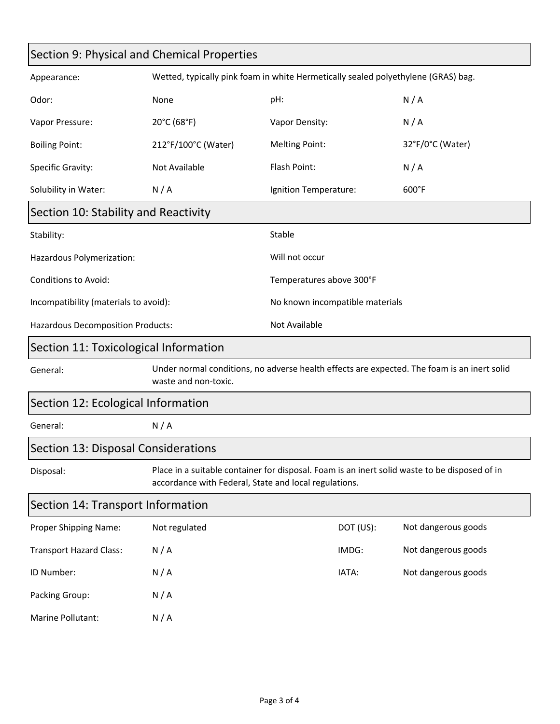| Section 9: Physical and Chemical Properties |                                                                                                                                                        |                                 |           |                     |
|---------------------------------------------|--------------------------------------------------------------------------------------------------------------------------------------------------------|---------------------------------|-----------|---------------------|
| Appearance:                                 | Wetted, typically pink foam in white Hermetically sealed polyethylene (GRAS) bag.                                                                      |                                 |           |                     |
| Odor:                                       | None                                                                                                                                                   | pH:                             |           | N/A                 |
| Vapor Pressure:                             | 20°C (68°F)                                                                                                                                            | Vapor Density:                  |           | N/A                 |
| <b>Boiling Point:</b>                       | 212°F/100°C (Water)                                                                                                                                    | <b>Melting Point:</b>           |           | 32°F/0°C (Water)    |
| Specific Gravity:                           | Not Available                                                                                                                                          | Flash Point:                    |           | N/A                 |
| Solubility in Water:                        | N/A                                                                                                                                                    | Ignition Temperature:           |           | 600°F               |
| Section 10: Stability and Reactivity        |                                                                                                                                                        |                                 |           |                     |
| Stability:                                  |                                                                                                                                                        | Stable                          |           |                     |
| Hazardous Polymerization:                   |                                                                                                                                                        | Will not occur                  |           |                     |
| <b>Conditions to Avoid:</b>                 |                                                                                                                                                        | Temperatures above 300°F        |           |                     |
| Incompatibility (materials to avoid):       |                                                                                                                                                        | No known incompatible materials |           |                     |
| <b>Hazardous Decomposition Products:</b>    |                                                                                                                                                        | Not Available                   |           |                     |
| Section 11: Toxicological Information       |                                                                                                                                                        |                                 |           |                     |
| General:                                    | Under normal conditions, no adverse health effects are expected. The foam is an inert solid<br>waste and non-toxic.                                    |                                 |           |                     |
| Section 12: Ecological Information          |                                                                                                                                                        |                                 |           |                     |
| General:                                    | N/A                                                                                                                                                    |                                 |           |                     |
| Section 13: Disposal Considerations         |                                                                                                                                                        |                                 |           |                     |
| Disposal:                                   | Place in a suitable container for disposal. Foam is an inert solid waste to be disposed of in<br>accordance with Federal, State and local regulations. |                                 |           |                     |
| Section 14: Transport Information           |                                                                                                                                                        |                                 |           |                     |
| Proper Shipping Name:                       | Not regulated                                                                                                                                          |                                 | DOT (US): | Not dangerous goods |
| <b>Transport Hazard Class:</b>              | N/A                                                                                                                                                    |                                 | IMDG:     | Not dangerous goods |
| ID Number:                                  | N/A                                                                                                                                                    |                                 | IATA:     | Not dangerous goods |
| Packing Group:                              | N/A                                                                                                                                                    |                                 |           |                     |

Marine Pollutant: N/A